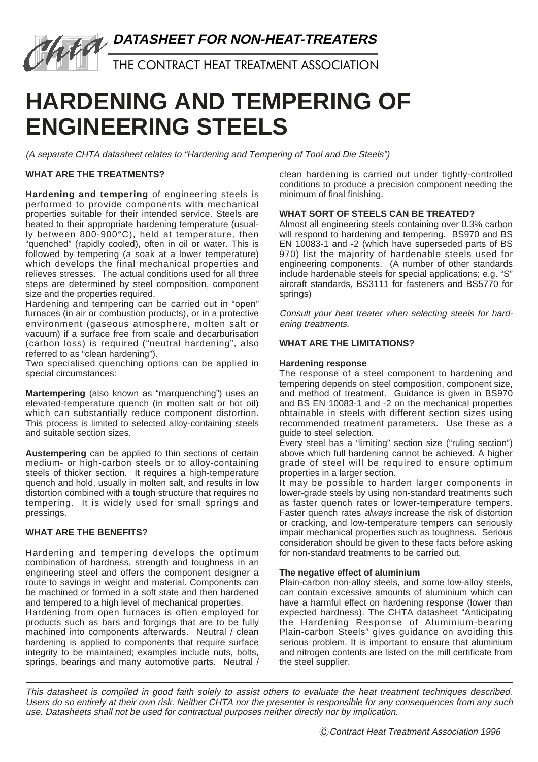

THE CONTRACT HEAT TREATMENT ASSOCIATION

# **HARDENING AND TEMPERING OF ENGINEERING STEELS**

(A separate CHTA datasheet relates to "Hardening and Tempering of Tool and Die Steels")

# **WHAT ARE THE TREATMENTS?**

**Hardening and tempering** of engineering steels is performed to provide components with mechanical properties suitable for their intended service. Steels are heated to their appropriate hardening temperature (usually between 800-900°C), held at temperature, then "quenched" (rapidly cooled), often in oil or water. This is followed by tempering (a soak at a lower temperature) which develops the final mechanical properties and relieves stresses. The actual conditions used for all three steps are determined by steel composition, component size and the properties required.

Hardening and tempering can be carried out in "open" furnaces (in air or combustion products), or in a protective environment (gaseous atmosphere, molten salt or vacuum) if a surface free from scale and decarburisation (carbon loss) is required ("neutral hardening", also referred to as "clean hardening").

Two specialised quenching options can be applied in special circumstances:

**Martempering** (also known as "marquenching") uses an elevated-temperature quench (in molten salt or hot oil) which can substantially reduce component distortion. This process is limited to selected alloy-containing steels and suitable section sizes.

**Austempering** can be applied to thin sections of certain medium- or high-carbon steels or to alloy-containing steels of thicker section. It requires a high-temperature quench and hold, usually in molten salt, and results in low distortion combined with a tough structure that requires no tempering. It is widely used for small springs and pressings.

# **WHAT ARE THE BENEFITS?**

Hardening and tempering develops the optimum combination of hardness, strength and toughness in an engineering steel and offers the component designer a route to savings in weight and material. Components can be machined or formed in a soft state and then hardened and tempered to a high level of mechanical properties.

Hardening from open furnaces is often employed for products such as bars and forgings that are to be fully machined into components afterwards. Neutral / clean hardening is applied to components that require surface integrity to be maintained; examples include nuts, bolts, springs, bearings and many automotive parts. Neutral / clean hardening is carried out under tightly-controlled conditions to produce a precision component needing the minimum of final finishing.

# **WHAT SORT OF STEELS CAN BE TREATED?**

Almost all engineering steels containing over 0.3% carbon will respond to hardening and tempering. BS970 and BS EN 10083-1 and -2 (which have superseded parts of BS 970) list the majority of hardenable steels used for engineering components. (A number of other standards include hardenable steels for special applications; e.g. "S" aircraft standards, BS3111 for fasteners and BS5770 for springs)

Consult your heat treater when selecting steels for hardening treatments.

## **WHAT ARE THE LIMITATIONS?**

#### **Hardening response**

The response of a steel component to hardening and tempering depends on steel composition, component size, and method of treatment. Guidance is given in BS970 and BS EN 10083-1 and -2 on the mechanical properties obtainable in steels with different section sizes using recommended treatment parameters. Use these as a guide to steel selection.

Every steel has a "limiting" section size ("ruling section") above which full hardening cannot be achieved. A higher grade of steel will be required to ensure optimum properties in a larger section.

It may be possible to harden larger components in lower-grade steels by using non-standard treatments such as faster quench rates or lower-temperature tempers. Faster quench rates always increase the risk of distortion or cracking, and low-temperature tempers can seriously impair mechanical properties such as toughness. Serious consideration should be given to these facts before asking for non-standard treatments to be carried out.

#### **The negative effect of aluminium**

Plain-carbon non-alloy steels, and some low-alloy steels, can contain excessive amounts of aluminium which can have a harmful effect on hardening response (lower than expected hardness). The CHTA datasheet "Anticipating the Hardening Response of Aluminium-bearing Plain-carbon Steels" gives guidance on avoiding this serious problem. It is important to ensure that aluminium and nitrogen contents are listed on the mill certificate from the steel supplier.

This datasheet is compiled in good faith solely to assist others to evaluate the heat treatment techniques described. Users do so entirely at their own risk. Neither CHTA nor the presenter is responsible for any consequences from any such use. Datasheets shall not be used for contractual purposes neither directly nor by implication.